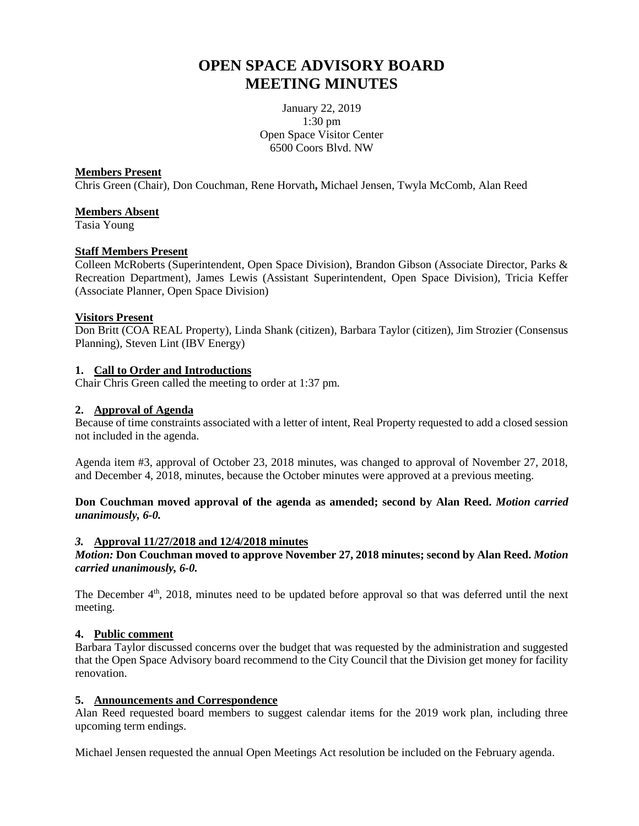# **OPEN SPACE ADVISORY BOARD MEETING MINUTES**

January 22, 2019 1:30 pm Open Space Visitor Center 6500 Coors Blvd. NW

## **Members Present**

Chris Green (Chair), Don Couchman, Rene Horvath**,** Michael Jensen, Twyla McComb, Alan Reed

## **Members Absent**

Tasia Young

### **Staff Members Present**

Colleen McRoberts (Superintendent, Open Space Division), Brandon Gibson (Associate Director, Parks & Recreation Department), James Lewis (Assistant Superintendent, Open Space Division), Tricia Keffer (Associate Planner, Open Space Division)

### **Visitors Present**

Don Britt (COA REAL Property), Linda Shank (citizen), Barbara Taylor (citizen), Jim Strozier (Consensus Planning), Steven Lint (IBV Energy)

# **1. Call to Order and Introductions**

Chair Chris Green called the meeting to order at 1:37 pm.

## **2. Approval of Agenda**

Because of time constraints associated with a letter of intent, Real Property requested to add a closed session not included in the agenda.

Agenda item #3, approval of October 23, 2018 minutes, was changed to approval of November 27, 2018, and December 4, 2018, minutes, because the October minutes were approved at a previous meeting.

**Don Couchman moved approval of the agenda as amended; second by Alan Reed.** *Motion carried unanimously, 6-0.*

## *3.* **Approval 11/27/2018 and 12/4/2018 minutes**

*Motion:* **Don Couchman moved to approve November 27, 2018 minutes; second by Alan Reed.** *Motion carried unanimously, 6-0.*

The December  $4<sup>th</sup>$ , 2018, minutes need to be updated before approval so that was deferred until the next meeting.

# **4. Public comment**

Barbara Taylor discussed concerns over the budget that was requested by the administration and suggested that the Open Space Advisory board recommend to the City Council that the Division get money for facility renovation.

# **5. Announcements and Correspondence**

Alan Reed requested board members to suggest calendar items for the 2019 work plan, including three upcoming term endings.

Michael Jensen requested the annual Open Meetings Act resolution be included on the February agenda.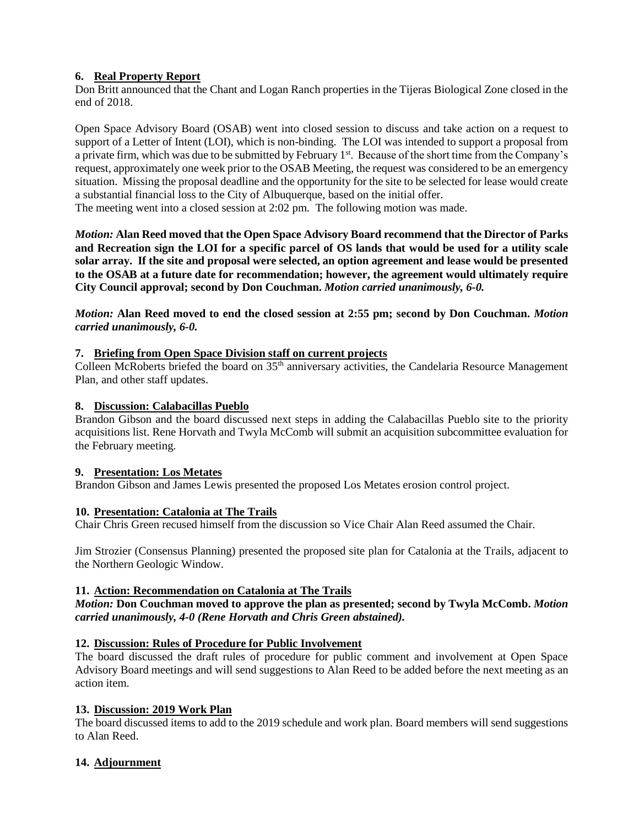# **6. Real Property Report**

Don Britt announced that the Chant and Logan Ranch properties in the Tijeras Biological Zone closed in the end of 2018.

Open Space Advisory Board (OSAB) went into closed session to discuss and take action on a request to support of a Letter of Intent (LOI), which is non-binding. The LOI was intended to support a proposal from a private firm, which was due to be submitted by February 1<sup>st</sup>. Because of the short time from the Company's request, approximately one week prior to the OSAB Meeting, the request was considered to be an emergency situation. Missing the proposal deadline and the opportunity for the site to be selected for lease would create a substantial financial loss to the City of Albuquerque, based on the initial offer.

The meeting went into a closed session at 2:02 pm. The following motion was made.

*Motion:* **Alan Reed moved that the Open Space Advisory Board recommend that the Director of Parks and Recreation sign the LOI for a specific parcel of OS lands that would be used for a utility scale solar array. If the site and proposal were selected, an option agreement and lease would be presented to the OSAB at a future date for recommendation; however, the agreement would ultimately require City Council approval; second by Don Couchman.** *Motion carried unanimously, 6-0.*

*Motion:* **Alan Reed moved to end the closed session at 2:55 pm; second by Don Couchman.** *Motion carried unanimously, 6-0.*

# **7. Briefing from Open Space Division staff on current projects**

Colleen McRoberts briefed the board on 35<sup>th</sup> anniversary activities, the Candelaria Resource Management Plan, and other staff updates.

# **8. Discussion: Calabacillas Pueblo**

Brandon Gibson and the board discussed next steps in adding the Calabacillas Pueblo site to the priority acquisitions list. Rene Horvath and Twyla McComb will submit an acquisition subcommittee evaluation for the February meeting.

# **9. Presentation: Los Metates**

Brandon Gibson and James Lewis presented the proposed Los Metates erosion control project.

# **10. Presentation: Catalonia at The Trails**

Chair Chris Green recused himself from the discussion so Vice Chair Alan Reed assumed the Chair.

Jim Strozier (Consensus Planning) presented the proposed site plan for Catalonia at the Trails, adjacent to the Northern Geologic Window.

# **11. Action: Recommendation on Catalonia at The Trails**

# *Motion:* **Don Couchman moved to approve the plan as presented; second by Twyla McComb.** *Motion carried unanimously, 4-0 (Rene Horvath and Chris Green abstained).*

# **12. Discussion: Rules of Procedure for Public Involvement**

The board discussed the draft rules of procedure for public comment and involvement at Open Space Advisory Board meetings and will send suggestions to Alan Reed to be added before the next meeting as an action item.

#### **13. Discussion: 2019 Work Plan**

The board discussed items to add to the 2019 schedule and work plan. Board members will send suggestions to Alan Reed.

# **14. Adjournment**